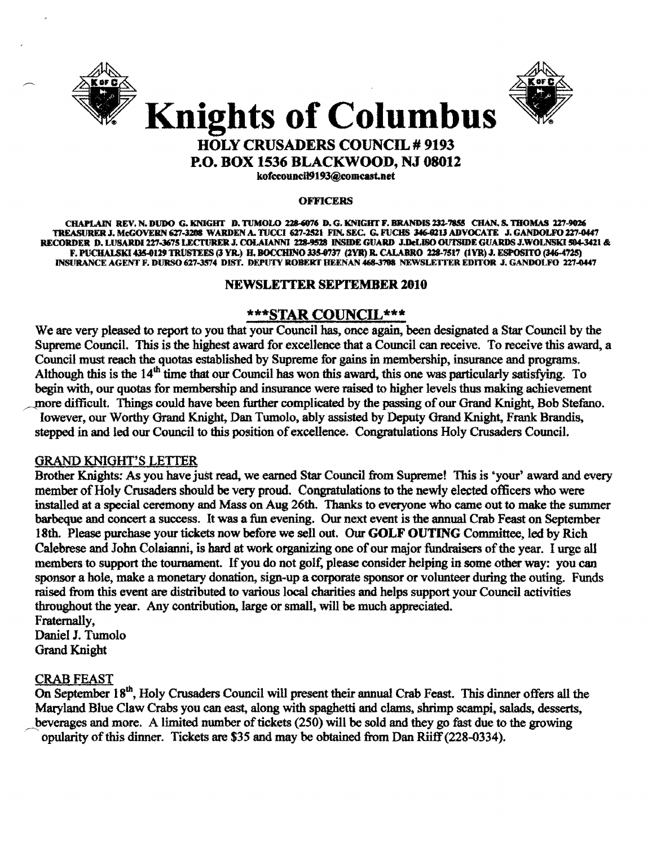



# **HOLY CRUSADERS COUNCIL # 9193 P.O. BOX 1536 BLACKWOOD, NJ 08012**

kofccouncil9193@comcast.net

#### **OFFICERS**

CHAPLAIN REV. N. DUDO G. KNIGHT D. TUMOLO 228-6076 D. G. KNIGHT F. BRANDIS 232-7855 CHAN. S. THOMAS 227-9026 TREASURER J. McGOVERN 627-3208 WARDEN A. TUCCI 627-2521 FIN. SEC. G. FUCHS 346-0213 ADVOCATE J. GANDOLFO 227-0447 RECORDER D. LUSARDI 227-3675 LECTURER J. COLAIANNI 228-9528 INSIDE GUARD J.DeLISO OUTSIDE GUARDS J.WOLNSKI 504-3421 & F. PUCHALSKI 435-0129 TRUSTEES (3 YR.) H. BOCCHINO 335-0737 (2YR) R. CALABRO 228-7517 (1YR) J. ESPOSITO (346-4725) INSURANCE AGENT F. DURSO 627-3574 DIST. DEPUTY ROBERT HEENAN 468-3788 NEWSLETTER EDITOR J. GANDOLFO 227-0447

#### **NEWSLETTER SEPTEMBER 2010**

#### \*\*\*STAR COUNCIL\*\*\*

We are very pleased to report to you that your Council has, once again, been designated a Star Council by the Supreme Council. This is the highest award for excellence that a Council can receive. To receive this award, a Council must reach the quotas established by Supreme for gains in membership, insurance and programs. Although this is the  $14<sup>th</sup>$  time that our Council has won this award, this one was particularly satisfying. To begin with, our quotas for membership and insurance were raised to higher levels thus making achievement more difficult. Things could have been further complicated by the passing of our Grand Knight, Bob Stefano, Iowever, our Worthy Grand Knight, Dan Tumolo, ably assisted by Deputy Grand Knight, Frank Brandis, stepped in and led our Council to this position of excellence. Congratulations Holy Crusaders Council.

#### **GRAND KNIGHT'S LETTER**

Brother Knights: As you have just read, we earned Star Council from Supreme! This is 'your' award and every member of Holy Crusaders should be very proud. Congratulations to the newly elected officers who were installed at a special ceremony and Mass on Aug 26th. Thanks to everyone who came out to make the summer barbeque and concert a success. It was a fun evening. Our next event is the annual Crab Feast on September 18th. Please purchase your tickets now before we sell out. Our GOLF OUTING Committee, led by Rich Calebrese and John Colaianni, is hard at work organizing one of our major fundraisers of the year. I urge all members to support the tournament. If you do not golf, please consider helping in some other way; you can sponsor a hole, make a monetary donation, sign-up a corporate sponsor or volunteer during the outing. Funds raised from this event are distributed to various local charities and helps support your Council activities throughout the year. Any contribution, large or small, will be much appreciated.

Fraternally. Daniel J. Tumolo **Grand Knight** 

#### **CRAB FEAST**

On September 18<sup>th</sup>, Holy Crusaders Council will present their annual Crab Feast. This dinner offers all the Maryland Blue Claw Crabs you can east, along with spaghetti and clams, shrimp scampi, salads, desserts, beverages and more. A limited number of tickets (250) will be sold and they go fast due to the growing opularity of this dinner. Tickets are \$35 and may be obtained from Dan Riiff (228-0334).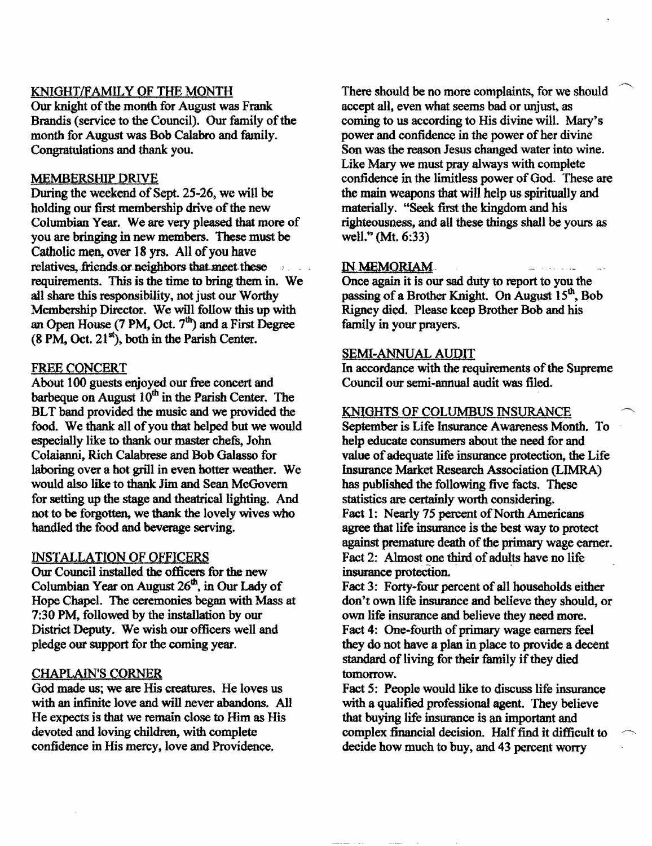### KNIGHT/FAMILY OF THE MONTH

Our knight of the month for August was Frank Brandis (service to the Council). Our family of the month for August was Bob Calabro and family. Congratulations and thank you.

#### MEMBERSHIP DRIVE

During the weekend of Sept. 25-26, we will be holding our first membership drive of the new Columbian Year. We are very pleased that more of you are bringing in new members. These must be Catholic men, over 18 yrs. All of you have relatives, friends or neighbors that meet these  $31 - 21$ requirements. This is the time to bring them in. We all share this responsibility, not just our Worthy Membership Director. We will follow this up with an Open House  $(7 \text{ PM}, \text{Oct. } 7^{\text{th}})$  and a First Degree  $(8 \text{ PM}, \text{Oct}, 21^{\text{st}})$ , both in the Parish Center.

#### FREE CONCERT

About 100 guests enjoyed our free concert and barbeque on August  $10<sup>m</sup>$  in the Parish Center. The BLT band provided the music and we provided the food. We thank all of you that helped but we would especially like to thank our master chefs, John Colaianni, Rich Calabrese and Bob Galasso for laboring over a hot grill in even hotter weather. We would also like to thank Jim and Sean McGovern for setting up the stage and theatrical lighting. And not to be forgotten, we thank the lovely wives who handled the food and beverage serving.

#### INSTALLATION OF QFFICERS

Our Council installed the officers for the new Columbian Year on August  $26<sup>th</sup>$ , in Our Lady of Hope Chapel. The ceremonies began with Mass at 7:30 PM, followed by the installation by our District Deputy. We wish our officers well and pledge our support for the coming year.

#### CHAfLAlN'S CORNER

God made us; we are His creatures. He loves us with an infinite love and will never abandons. All He expects is that we remain close to Him as His devoted and loving children, with complete confidence in His mercy, love and Providence.

There should be no more complaints, for we should accept all, even what seems bad or unjust, as coming to us according to His divine will. Mary's power and confidence in the power of her divine Son was the reason Jesus changed water into wine. Like Mary we must pray always with complete confidence in the limitless power of God. These are the main weapons that will help us spiritually and materially. "Seek first the kingdom and his righteousness, and all these things shall be yours as well." (Mt. 6:33)

#### IN MEMORIAM-

Once again it is out sad duty to report to you the passing of a Brother Knight. On August 15<sup>th</sup>, Bob Rigney died. Please keep Brother Bob and his family in your prayers.

#### SEMI-ANNUAL AUQIT

In accordance with the requirements of the Supreme Council our semi-annual audit was filed.

#### KNIGHTS OF COLUMBUS INSURANCE

September is Life Insurance Awareness Month. To help educate consumers about the need for and value of adequate life insurance protection, the Life Insurance Market Research Association (LIMRA) has published the following five facts. These statistics are certainly worth considering. Fact 1: Nearly 75 percent of North Americans agree that life insurance is the best way to protect against premature death of the primary wage earner. Fact 2: Almost one third of adults have no life insurance protection.

Fact 3: Forty-four percent of all households either don't own life insurance and believe they should, or own life insurance and believe they need more. Fact 4: One-fourth of primary wage earners feel they do not have a plan in place to provide a decent standard of living for their family if they died tomorrow.

Fact 5: People would like to discuss life insurance with a qualified professional agent. They believe that buying life insurance is an important and complex financial decision. HaIf find it difficult to ~ decide how much to buy, and 43 percent worry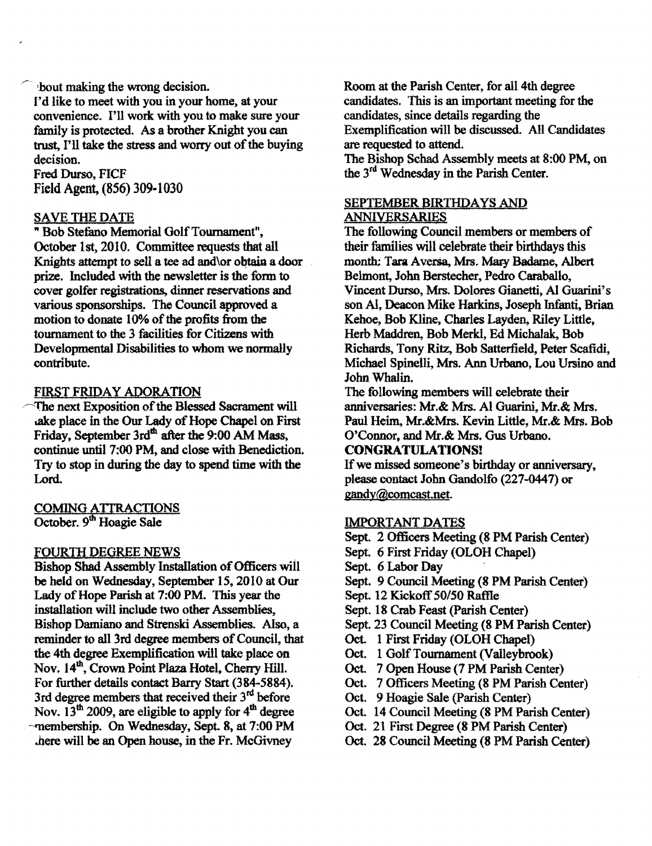bout making the wrong decision. I'd like to meet with you in your home, at your convenience. I'll work with you to make sure your family is protected. As a brother Knight you can trust, I'll take the stress and worry out of the buying decision.

Fred Durso, FICF Field Agent, (856) 309-1030

#### SAVE THE DATE

"Bob Stefano Memorial OolfTournament", October 1st, 2010. Committee requests that all Knights attempt to sell a tee ad and\or obtain a door prize. Included with the newsletter is the form to cover golfer registrations, dinner reservations and various sponsorships. The Council approved a motion to donate 10% of the profits from the tournament to the 3 facilities for Citizens with Developmental Disabilities to whom we normally contribute.

#### FIRST FRIDAY ADORATION

The next Exposition of the Blessed Sacrament will ake place in the Our Lady of Hope Chapel on First Friday, September 3rd<sup>th</sup> after the 9:00 AM Mass, continue until 7:00 PM, and close with Benediction. Try to stop in during the day to spend time with the Lord.

## COMING ATTRACTIONS October. 9<sup>th</sup> Hoagie Sale

#### FOURIH DEGREE NEWS

Bishop Shad Assembly Installation of Officers will be held on Wednesday, September IS, 2010 at Our Lady of Hope Parish at 7:00 PM. This year the installation will include two other Assemblies, Bishop Damiano and Strenski Assemblies. Also, a reminder to all 3rd degree members of Council, that the 4th degree Exemplification will take place on Nov. 14th, Crown Point Plaza Hotel, Cherry Hill. For further details contact Barry Start (384-5884). 3rd degree members that received their  $3^{rd}$  before Nov.  $13<sup>th</sup>$  2009, are eligible to apply for  $4<sup>th</sup>$  degree ~membership. On Wednesday, Sept. 8, at 7:00 PM ..here will be an Open house, in the Fr. McGivney

Room at the Parish Center, for all 4th degree candidates. This is an important meeting for the candidates, since details regarding the Exemplification will be discussed. All Candidates are requested to attend.

The Bishop Schad Assembly meets at 8:00 PM, on the 3rd Wednesday in the Parish Center.

#### SEPTEMBER BIRTHDAYS AND **ANNIVERSARIES**

The following Council members or members of their families will celebrate their birthdays this month: Tara Aversa, Mrs. Mary Badame, Albert Belmont, John Berstecher, Pedro Caraballo, Vincent Durso, Mrs. Dolores Gianetti, AI Guarini's son AI, Deacon Mike Harkins, Joseph Infanti. Brian Kehoe, Bob Kline, Charles Layden, Riley Little, Herb Maddren, Bob Merkl, Ed Michalak, Bob Richards, Tony Ritz, Bob Satterfield, Peter Scafidi, Michael Spinelli, Mrs. Ann Urbano, Lou Ursino and John Whalin.

The following members will celebrate their anniversaries: Mr.& Mrs. AI Guarini, Mr.& Mrs. Paul Heim, Mr.&Mrs. Kevin Little, Mr.& Mrs. Bob O'Connor, and Mr.& Mrs. Gus Urbano.

## CONGRATULATIONS!

If we missed someone's birthday or anniversary, please contact John Gandolfo (227-0441) or gandY@comcast.net.

## IMPORTANT DATES

Sept. 2 Officers Meeting (8 PM Parish Center)

- Sept. 6 First Friday (OLOH Chapel)
- Sept. 6 Labor Dav
- Sept. 9 Council Meeting (8 PM Parish Center)
- Sept. 12 Kickoff *50lS0* Raffle
- Sept. 18 Crab Feast (Parish Center)
- Sept. 23 Council Meeting (8 PM Parish Center)
- Oct. 1 First Friday (OLOH Chapel)
- Oct. 1 Golf Tournament (Valleybrook)
- Oct. 7 Open House (7 PM Parish Center)
- Oct. 7 Officers Meeting (8 PM Parish Center)
- Oct. 9 Hoagie Sale (parish Center)
- Oct. 14 Council Meeting (8 PM Parish Center)
- Oct. 21 First Degree (8 PM Parish Center)
- Oct. 28 Council Meeting (8 PM Parish Center)